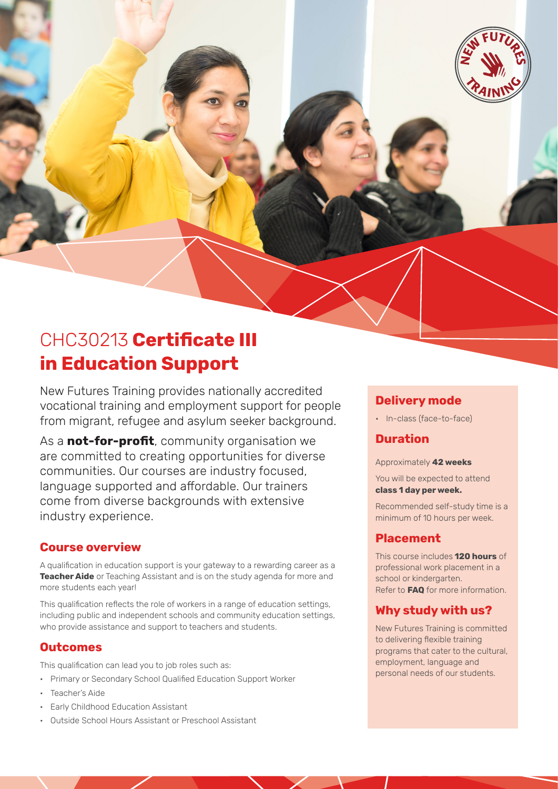

# CHC30213 **Certificate III in Education Support**

New Futures Training provides nationally accredited vocational training and employment support for people from migrant, refugee and asylum seeker background.

As a **not-for-profit**, community organisation we are committed to creating opportunities for diverse communities. Our courses are industry focused, language supported and affordable. Our trainers come from diverse backgrounds with extensive industry experience.

### **Course overview**

A qualification in education support is your gateway to a rewarding career as a **Teacher Aide** or Teaching Assistant and is on the study agenda for more and more students each year!

This qualification reflects the role of workers in a range of education settings, including public and independent schools and community education settings, who provide assistance and support to teachers and students.

### **Outcomes**

This qualification can lead you to job roles such as:

- Primary or Secondary School Qualified Education Support Worker
- Teacher's Aide
- Early Childhood Education Assistant
- Outside School Hours Assistant or Preschool Assistant

# **Delivery mode**

• In-class (face-to-face)

# **Duration**

Approximately **42 weeks**

You will be expected to attend **class 1 day per week.** 

Recommended self-study time is a minimum of 10 hours per week.

### **Placement**

This course includes **120 hours** of professional work placement in a school or kindergarten. Refer to **FAQ** for more information.

# **Why study with us?**

New Futures Training is committed to delivering flexible training programs that cater to the cultural, employment, language and personal needs of our students.